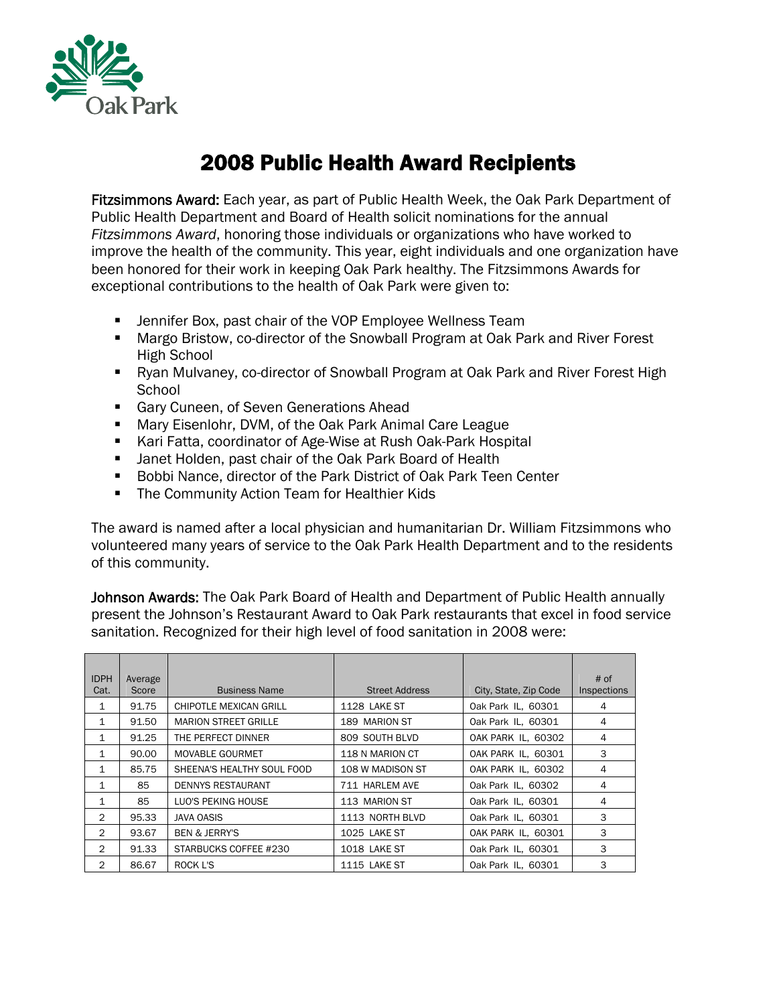

## 2008 Public Health Award Recipients

Fitzsimmons Award: Each year, as part of Public Health Week, the Oak Park Department of Public Health Department and Board of Health solicit nominations for the annual *Fitzsimmons Award*, honoring those individuals or organizations who have worked to improve the health of the community. This year, eight individuals and one organization have been honored for their work in keeping Oak Park healthy. The Fitzsimmons Awards for exceptional contributions to the health of Oak Park were given to:

- Jennifer Box, past chair of the VOP Employee Wellness Team
- Margo Bristow, co-director of the Snowball Program at Oak Park and River Forest High School
- Ryan Mulvaney, co-director of Snowball Program at Oak Park and River Forest High **School**
- **Gary Cuneen, of Seven Generations Ahead**
- Mary Eisenlohr, DVM, of the Oak Park Animal Care League
- Kari Fatta, coordinator of Age-Wise at Rush Oak-Park Hospital
- **Janet Holden, past chair of the Oak Park Board of Health**
- Bobbi Nance, director of the Park District of Oak Park Teen Center
- **The Community Action Team for Healthier Kids**

The award is named after a local physician and humanitarian Dr. William Fitzsimmons who volunteered many years of service to the Oak Park Health Department and to the residents of this community.

Johnson Awards: The Oak Park Board of Health and Department of Public Health annually present the Johnson's Restaurant Award to Oak Park restaurants that excel in food service sanitation. Recognized for their high level of food sanitation in 2008 were:

| <b>IDPH</b>    | Average |                             |                       |                       | $#$ of      |
|----------------|---------|-----------------------------|-----------------------|-----------------------|-------------|
| Cat.           | Score   | <b>Business Name</b>        | <b>Street Address</b> | City, State, Zip Code | Inspections |
| 1              | 91.75   | CHIPOTLE MEXICAN GRILL      | 1128 LAKE ST          | Oak Park IL, 60301    | 4           |
| 1              | 91.50   | <b>MARION STREET GRILLE</b> | 189 MARION ST         | Oak Park IL, 60301    | 4           |
| $\mathbf{1}$   | 91.25   | THE PERFECT DINNER          | 809 SOUTH BLVD        | OAK PARK IL, 60302    | 4           |
| 1              | 90.00   | <b>MOVABLE GOURMET</b>      | 118 N MARION CT       | OAK PARK IL, 60301    | 3           |
| 1              | 85.75   | SHEENA'S HEALTHY SOUL FOOD  | 108 W MADISON ST      | OAK PARK IL, 60302    | 4           |
| 1              | 85      | <b>DENNYS RESTAURANT</b>    | 711 HARLEM AVE        | Oak Park IL, 60302    | 4           |
| $\mathbf{1}$   | 85      | LUO'S PEKING HOUSE          | 113 MARION ST         | Oak Park IL, 60301    | 4           |
| 2              | 95.33   | JAVA OASIS                  | 1113 NORTH BLVD       | Oak Park IL, 60301    | 3           |
| $\overline{2}$ | 93.67   | <b>BEN &amp; JERRY'S</b>    | 1025 LAKE ST          | OAK PARK IL, 60301    | 3           |
| $\overline{2}$ | 91.33   | STARBUCKS COFFEE #230       | 1018 LAKE ST          | Oak Park IL, 60301    | 3           |
| 2              | 86.67   | ROCK L'S                    | 1115 LAKE ST          | Oak Park IL. 60301    | 3           |